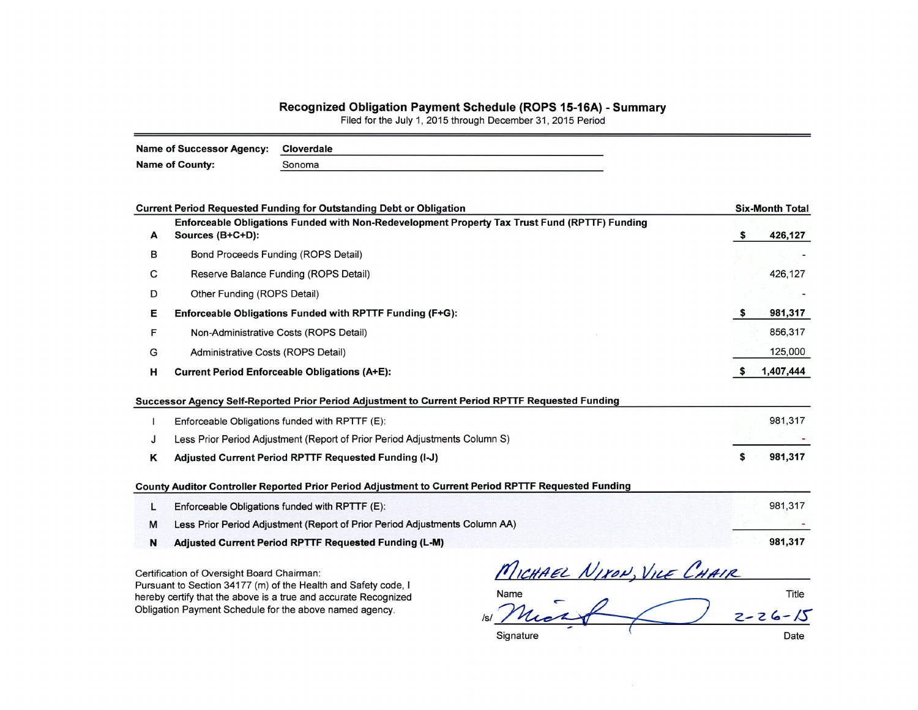## Recognized Obligation Payment Schedule (ROPS 15-16A) - Summary<br>Filed for the July 1, 2015 through December 31, 2015 Period

| Name of Successor Agency: | Cloverdale |
|---------------------------|------------|
| <b>Name of County:</b>    | Sonoma     |

|   | <b>Current Period Requested Funding for Outstanding Debt or Obligation</b>                                        |   | <b>Six-Month Total</b> |
|---|-------------------------------------------------------------------------------------------------------------------|---|------------------------|
| A | Enforceable Obligations Funded with Non-Redevelopment Property Tax Trust Fund (RPTTF) Funding<br>Sources (B+C+D): | s | 426,127                |
| В | Bond Proceeds Funding (ROPS Detail)                                                                               |   |                        |
| С | Reserve Balance Funding (ROPS Detail)                                                                             |   | 426,127                |
|   |                                                                                                                   |   |                        |
| D | Other Funding (ROPS Detail)                                                                                       |   |                        |
| Е | Enforceable Obligations Funded with RPTTF Funding (F+G):                                                          |   | 981,317                |
| F | Non-Administrative Costs (ROPS Detail)                                                                            |   | 856,317                |
| G | Administrative Costs (ROPS Detail)                                                                                |   | 125,000                |
| н | <b>Current Period Enforceable Obligations (A+E):</b>                                                              |   | 1,407,444              |
|   | Successor Agency Self-Reported Prior Period Adjustment to Current Period RPTTF Requested Funding                  |   |                        |
|   | Enforceable Obligations funded with RPTTF (E):                                                                    |   | 981,317                |
| J | Less Prior Period Adjustment (Report of Prior Period Adjustments Column S)                                        |   |                        |
| Κ | Adjusted Current Period RPTTF Requested Funding (I-J)                                                             |   | 981,317                |
|   | County Auditor Controller Reported Prior Period Adjustment to Current Period RPTTF Requested Funding              |   |                        |
|   | Enforceable Obligations funded with RPTTF (E):                                                                    |   | 981,317                |
| L |                                                                                                                   |   |                        |
| М | Less Prior Period Adjustment (Report of Prior Period Adjustments Column AA)                                       |   |                        |

Pursuant to Section 34177 (m) of the Health and Safety code, I hereby certify that the above is a true and accurate Recognized Obligation Payment Schedule for the above named agency.

Name Title ISI Mic  $2 - 26 - 15$ Date

Signature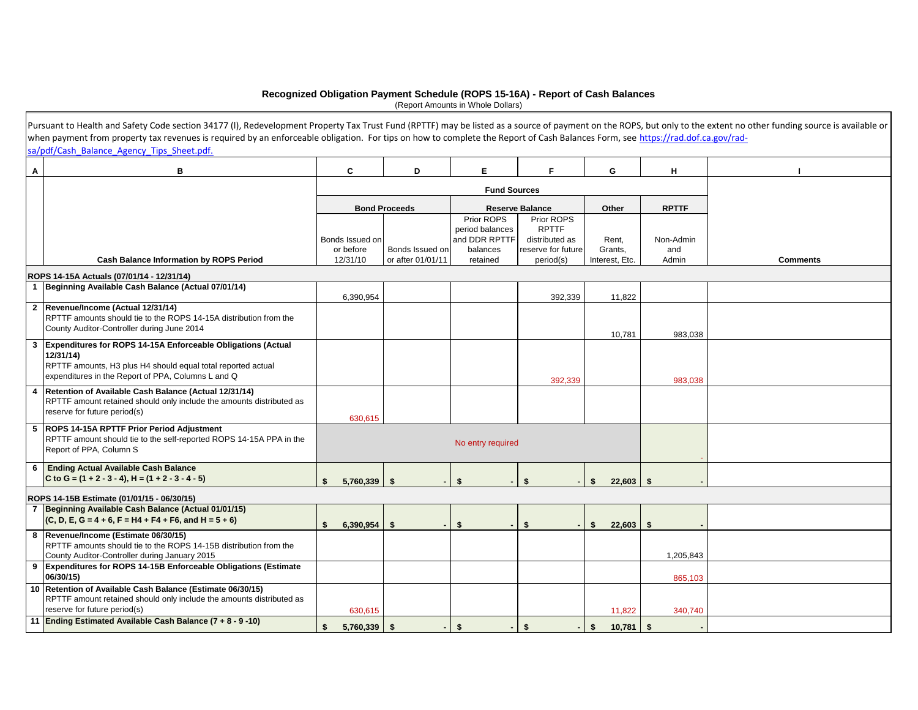## **Recognized Obligation Payment Schedule (ROPS 15-16A) - Report of Cash Balances**

(Report Amounts in Whole Dollars)

|   | Pursuant to Health and Safety Code section 34177 (I), Redevelopment Property Tax Trust Fund (RPTTF) may be listed as a source of payment on the ROPS, but only to the extent no other funding source is available or |                                |                      |                           |                                      |                   |                  |                 |
|---|----------------------------------------------------------------------------------------------------------------------------------------------------------------------------------------------------------------------|--------------------------------|----------------------|---------------------------|--------------------------------------|-------------------|------------------|-----------------|
|   | when payment from property tax revenues is required by an enforceable obligation. For tips on how to complete the Report of Cash Balances Form, see https://rad.dof.ca.gov/rad-                                      |                                |                      |                           |                                      |                   |                  |                 |
|   | sa/pdf/Cash Balance Agency Tips Sheet.pdf.                                                                                                                                                                           |                                |                      |                           |                                      |                   |                  |                 |
| Α | в                                                                                                                                                                                                                    | C                              | D                    | E.                        | F.                                   | G                 | н                |                 |
|   |                                                                                                                                                                                                                      |                                |                      |                           |                                      |                   |                  |                 |
|   |                                                                                                                                                                                                                      |                                | <b>Bond Proceeds</b> |                           |                                      |                   |                  |                 |
|   |                                                                                                                                                                                                                      |                                |                      | Prior ROPS                | <b>Reserve Balance</b><br>Prior ROPS | Other             | <b>RPTTF</b>     |                 |
|   |                                                                                                                                                                                                                      |                                |                      | period balances           | <b>RPTTF</b>                         |                   |                  |                 |
|   |                                                                                                                                                                                                                      | Bonds Issued on<br>or before   | Bonds Issued on      | and DDR RPTTF<br>balances | distributed as<br>reserve for future | Rent,<br>Grants,  | Non-Admin<br>and |                 |
|   | <b>Cash Balance Information by ROPS Period</b>                                                                                                                                                                       | 12/31/10                       | or after 01/01/11    | retained                  | period(s)                            | Interest, Etc.    | Admin            | <b>Comments</b> |
|   | ROPS 14-15A Actuals (07/01/14 - 12/31/14)                                                                                                                                                                            |                                |                      |                           |                                      |                   |                  |                 |
|   | 1 Beginning Available Cash Balance (Actual 07/01/14)                                                                                                                                                                 |                                |                      |                           |                                      |                   |                  |                 |
|   |                                                                                                                                                                                                                      | 6,390,954                      |                      |                           | 392,339                              | 11,822            |                  |                 |
|   | 2 Revenue/Income (Actual 12/31/14)<br>RPTTF amounts should tie to the ROPS 14-15A distribution from the<br>County Auditor-Controller during June 2014                                                                |                                |                      |                           |                                      |                   |                  |                 |
|   |                                                                                                                                                                                                                      |                                |                      |                           |                                      | 10,781            | 983,038          |                 |
| 3 | Expenditures for ROPS 14-15A Enforceable Obligations (Actual<br>12/31/14)<br>RPTTF amounts, H3 plus H4 should equal total reported actual                                                                            |                                |                      |                           |                                      |                   |                  |                 |
|   | expenditures in the Report of PPA, Columns L and Q                                                                                                                                                                   |                                |                      |                           | 392.339                              |                   | 983.038          |                 |
| 4 | Retention of Available Cash Balance (Actual 12/31/14)<br>RPTTF amount retained should only include the amounts distributed as<br>reserve for future period(s)                                                        | 630,615                        |                      |                           |                                      |                   |                  |                 |
|   | 5 ROPS 14-15A RPTTF Prior Period Adjustment<br>RPTTF amount should tie to the self-reported ROPS 14-15A PPA in the<br>No entry required<br>Report of PPA, Column S                                                   |                                |                      |                           |                                      |                   |                  |                 |
|   | 6 Ending Actual Available Cash Balance                                                                                                                                                                               |                                |                      |                           |                                      |                   |                  |                 |
|   | C to G = $(1 + 2 - 3 - 4)$ , H = $(1 + 2 - 3 - 4 - 5)$                                                                                                                                                               | $\mathbf{s}$<br>$5,760,339$ \$ |                      | \$                        | $\mathbf{\hat{s}}$                   | \$<br>22,603      | \$               |                 |
|   | ROPS 14-15B Estimate (01/01/15 - 06/30/15)                                                                                                                                                                           |                                |                      |                           |                                      |                   |                  |                 |
|   | 7 Beginning Available Cash Balance (Actual 01/01/15)                                                                                                                                                                 |                                |                      |                           |                                      |                   |                  |                 |
|   | $(C, D, E, G = 4 + 6, F = H4 + F4 + F6, and H = 5 + 6)$                                                                                                                                                              | 6,390,954<br>\$                | Ŝ.                   | \$                        | \$                                   | 22,603<br>Ŝ.      | \$               |                 |
|   | 8 Revenue/Income (Estimate 06/30/15)<br>RPTTF amounts should tie to the ROPS 14-15B distribution from the                                                                                                            |                                |                      |                           |                                      |                   |                  |                 |
|   | County Auditor-Controller during January 2015                                                                                                                                                                        |                                |                      |                           |                                      |                   | 1,205,843        |                 |
|   | 9 Expenditures for ROPS 14-15B Enforceable Obligations (Estimate<br>06/30/15)                                                                                                                                        |                                |                      |                           |                                      |                   | 865,103          |                 |
|   | 10 Retention of Available Cash Balance (Estimate 06/30/15)<br>RPTTF amount retained should only include the amounts distributed as                                                                                   |                                |                      |                           |                                      |                   |                  |                 |
|   | reserve for future period(s)                                                                                                                                                                                         | 630,615                        |                      |                           |                                      | 11,822            | 340,740          |                 |
|   | 11 Ending Estimated Available Cash Balance (7 + 8 - 9 -10)                                                                                                                                                           | 5,760,339<br>\$                | $$^{\circ}$          | \$                        | \$                                   | $10,781$ \$<br>\$ |                  |                 |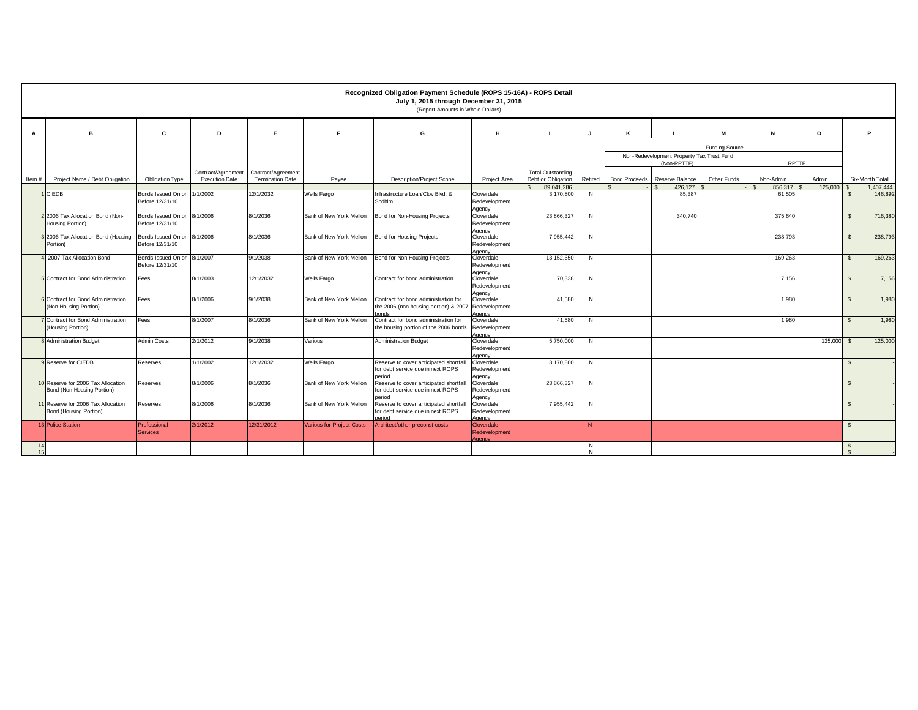|              |                                                                  |                                       |                       |                         |                                  | Recognized Obligation Payment Schedule (ROPS 15-16A) - ROPS Detail<br>July 1, 2015 through December 31, 2015<br>(Report Amounts in Whole Dollars) |                                       |                          |              |                      |                                           |                       |           |          |               |                 |
|--------------|------------------------------------------------------------------|---------------------------------------|-----------------------|-------------------------|----------------------------------|---------------------------------------------------------------------------------------------------------------------------------------------------|---------------------------------------|--------------------------|--------------|----------------------|-------------------------------------------|-----------------------|-----------|----------|---------------|-----------------|
| $\mathbf{A}$ | R                                                                | C                                     | D                     | E                       | E                                | G                                                                                                                                                 | н                                     |                          |              | К                    |                                           | M                     | N         | $\Omega$ |               | P               |
|              |                                                                  |                                       |                       |                         |                                  |                                                                                                                                                   |                                       |                          |              |                      |                                           | <b>Funding Source</b> |           |          |               |                 |
|              |                                                                  |                                       |                       |                         |                                  |                                                                                                                                                   |                                       |                          |              |                      | Non-Redevelopment Property Tax Trust Fund |                       |           |          |               |                 |
|              |                                                                  |                                       |                       |                         |                                  |                                                                                                                                                   |                                       |                          |              |                      | (Non-RPTTF)                               |                       | RPTTF     |          |               |                 |
|              |                                                                  |                                       | Contract/Agreement    | Contract/Agreement      |                                  |                                                                                                                                                   |                                       | <b>Total Outstanding</b> |              |                      |                                           |                       |           |          |               |                 |
| Item#        | Project Name / Debt Obligation                                   | <b>Obligation Type</b>                | <b>Execution Date</b> | <b>Termination Date</b> | Payee                            | <b>Description/Project Scope</b>                                                                                                                  | Project Area                          | Debt or Obligation       | Retired      | <b>Bond Proceeds</b> | Reserve Balance                           | Other Funds           | Non-Admin | Admin    |               | Six-Month Total |
|              |                                                                  |                                       |                       |                         |                                  |                                                                                                                                                   |                                       | 89.041.286               |              |                      | 426,127                                   |                       | 856.317   | 125,000  |               | 1.407.444       |
|              | CIEDB                                                            | Bonds Issued On or<br>Before 12/31/10 | 1/1/2002              | 12/1/2032               | <b>Wells Fargo</b>               | Infrastructure Loan/Clov Blvd, &<br>Sndhlm                                                                                                        | Cloverdale<br>Redevelopment<br>Agency | 3,170,800                | N            |                      | 85.387                                    |                       | 61,505    |          | s.            | 146.892         |
|              | 2 2006 Tax Allocation Bond (Non-<br>Housing Portion)             | Bonds Issued On or<br>Before 12/31/10 | 8/1/2006              | 8/1/2036                | Bank of New York Mellon          | Bond for Non-Housing Projects                                                                                                                     | Cloverdale<br>Redevelopment<br>Agency | 23,866,32                | N            |                      | 340,740                                   |                       | 375,640   |          | $\mathbb{S}$  | 716,380         |
|              | 3 2006 Tax Allocation Bond (Housing<br>Portion)                  | Bonds Issued On or<br>Before 12/31/10 | 8/1/2006              | 8/1/2036                | Bank of New York Mellon          | Bond for Housing Projects                                                                                                                         | Cloverdale<br>Redevelopment<br>Agency | 7,955,442                | N            |                      |                                           |                       | 238,793   |          | $\mathbf{s}$  | 238,793         |
|              | 2007 Tax Allocation Bond                                         | Bonds Issued On or<br>Before 12/31/10 | 8/1/2007              | 9/1/2038                | Bank of New York Mellon          | Bond for Non-Housing Projects                                                                                                                     | Cloverdale<br>Redevelopment<br>Agency | 13,152,650               | N            |                      |                                           |                       | 169.263   |          | $\mathbb{S}$  | 169.263         |
|              | 5 Contract for Bond Administration                               | Fees                                  | 8/1/2003              | 12/1/2032               | Wells Fargo                      | Contract for bond administration                                                                                                                  | Cloverdale<br>Redevelopment<br>Agency | 70,338                   | N            |                      |                                           |                       | 7,156     |          | $\mathsf{\$}$ | 7,156           |
|              | 6 Contract for Bond Administration<br>(Non-Housing Portion)      | Fees                                  | 8/1/2006              | 9/1/2038                | Bank of New York Mellon          | Contract for bond administration for<br>the 2006 (non-housing portion) & 2007 Redevelopment<br>honds                                              | Cloverdale<br>Agency                  | 41,580                   | N            |                      |                                           |                       | 1.980     |          | $\mathbb{S}$  | 1.980           |
|              | Contract for Bond Administration<br>(Housing Portion)            | Fees                                  | 8/1/2007              | 8/1/2036                | Bank of New York Mellon          | Contract for bond administration for<br>the housing portion of the 2006 bonds Redevelopment                                                       | Cloverdale<br>Agency                  | 41,580                   | N            |                      |                                           |                       | 1,980     |          | $\mathsf{\$}$ | 1,980           |
|              | 8 Administration Budget                                          | Admin Costs                           | 2/1/2012              | 9/1/2038                | Various                          | <b>Administration Budget</b>                                                                                                                      | Cloverdale<br>Redevelopment<br>aency  | 5,750,000                | N            |                      |                                           |                       |           | 125,000  | $\mathbf{s}$  | 125,000         |
|              | 9 Reserve for CIEDB                                              | Reserves                              | 1/1/2002              | 12/1/2032               | Wells Fargo                      | Reserve to cover anticipated shortfal<br>for debt service due in next ROPS<br>heriod                                                              | Cloverdale<br>Redevelopment<br>Agency | 3,170,800                | N            |                      |                                           |                       |           |          | $\mathbb{S}$  |                 |
|              | 10 Reserve for 2006 Tax Allocation<br>Bond (Non-Housing Portion) | Reserves                              | 8/1/2006              | 8/1/2036                | Bank of New York Mellon          | Reserve to cover anticipated shortfal<br>for debt service due in next ROPS<br>boitec                                                              | Cloverdale<br>Redevelopment<br>Agency | 23,866,327               | N            |                      |                                           |                       |           |          | $\mathbb{S}$  |                 |
|              | 11 Reserve for 2006 Tax Allocation<br>Bond (Housing Portion)     | Reserves                              | 8/1/2006              | 8/1/2036                | Bank of New York Mellon          | Reserve to cover anticipated shortfal<br>for debt service due in next ROPS<br>neriod                                                              | Cloverdale<br>Redevelopment<br>Agency | 7,955,442                | N            |                      |                                           |                       |           |          | $\mathbb{S}$  |                 |
|              | <b>13 Police Station</b>                                         | Professional<br><b>Services</b>       | 2/1/2012              | 12/31/2012              | <b>Various for Project Costs</b> | Architect/other preconst costs                                                                                                                    | Cloverdale<br>Redevelopment<br>Agency |                          | N            |                      |                                           |                       |           |          | $\mathbb{S}$  |                 |
| 1/           |                                                                  |                                       |                       |                         |                                  |                                                                                                                                                   |                                       |                          | $\mathsf{N}$ |                      |                                           |                       |           |          |               |                 |
| 15           |                                                                  |                                       |                       |                         |                                  |                                                                                                                                                   |                                       |                          | N            |                      |                                           |                       |           |          |               |                 |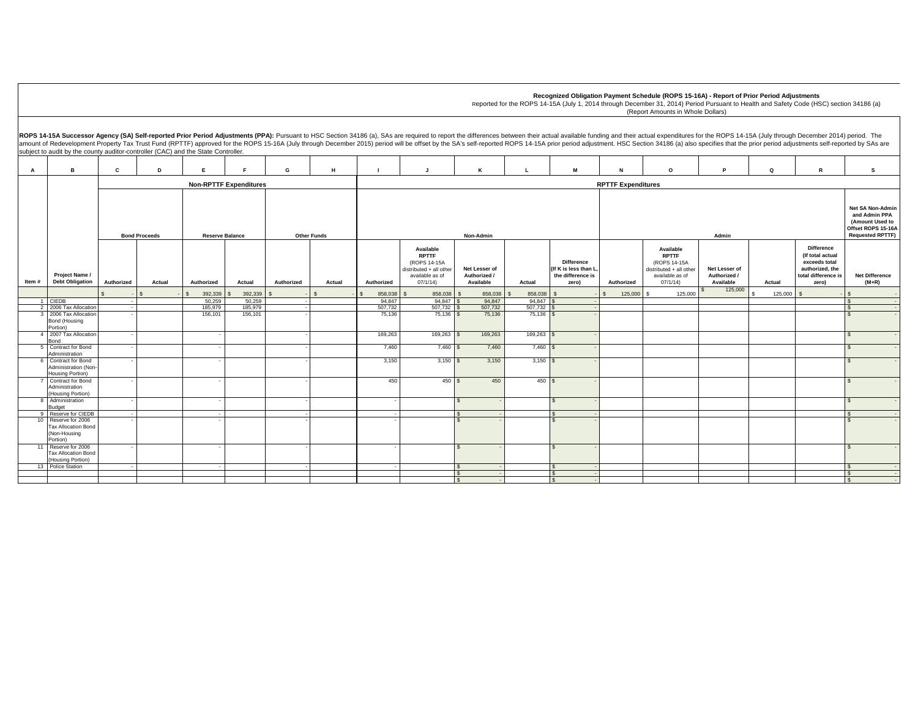$\texttt{S} \hspace{1.5cm} \texttt{S} \hspace{1.5cm} \texttt{S} \hspace{1.5cm} \texttt{S} \hspace{1.5cm} \texttt{S} \hspace{1.5cm} \texttt{S} \hspace{1.5cm} \texttt{S} \hspace{1.5cm} \texttt{S} \hspace{1.5cm} \texttt{S} \hspace{1.5cm} \texttt{S} \hspace{1.5cm} \texttt{S} \hspace{1.5cm} \texttt{S} \hspace{1.5cm} \texttt{S} \hspace{1.5cm} \texttt{S} \hspace{1.5cm} \texttt{S} \hspace{$ 

|       |                                                                                            |              |               |                          |                               |            |        |                   |                                                                                                              |                                            |                          |                                                                   |                           | Recognized Obligation Payment Schedule (ROPS 15-16A) - Report of Prior Period Adjustments<br>Reported for the ROPS 14-15A (July 1, 2014 through December 31, 2014) Period Pursuant to Health and Safety Code (HSC) section 34186 (a)<br>(Report Amounts in Whole Dollars)                                                                                                                                                                                        |                                            |               |                                                                                                           |                                  |
|-------|--------------------------------------------------------------------------------------------|--------------|---------------|--------------------------|-------------------------------|------------|--------|-------------------|--------------------------------------------------------------------------------------------------------------|--------------------------------------------|--------------------------|-------------------------------------------------------------------|---------------------------|------------------------------------------------------------------------------------------------------------------------------------------------------------------------------------------------------------------------------------------------------------------------------------------------------------------------------------------------------------------------------------------------------------------------------------------------------------------|--------------------------------------------|---------------|-----------------------------------------------------------------------------------------------------------|----------------------------------|
|       | subject to audit by the county auditor-controller (CAC) and the State Controller.          |              |               |                          |                               |            |        |                   |                                                                                                              |                                            |                          |                                                                   |                           | ROPS 14-15A Successor Agency (SA) Self-reported Prior Period Adjustments (PPA): Pursuant to HSC Section 34186 (a), SAs are required to report the differences between their actual available funding and their actual expendit<br>amount of Redevelopment Property Tax Trust Fund (RPTTF) approved for the ROPS 15-16A (July through December 2015) period will be offset by the SA's self-reported ROPS 14-15A prior period adjustment. HSC Section 34186 (a) a |                                            |               |                                                                                                           |                                  |
| A     | B                                                                                          | $\mathbf{c}$ | D             | E                        |                               | G          | н      |                   | IJ                                                                                                           | К                                          |                          | M                                                                 | $\mathbf{N}$              | $\Omega$                                                                                                                                                                                                                                                                                                                                                                                                                                                         | Þ                                          | $\Omega$      | $\mathbf{R}$                                                                                              | s.                               |
|       |                                                                                            |              |               |                          | <b>Non-RPTTF Expenditures</b> |            |        |                   |                                                                                                              |                                            |                          |                                                                   | <b>RPTTF Expenditures</b> |                                                                                                                                                                                                                                                                                                                                                                                                                                                                  |                                            |               |                                                                                                           |                                  |
|       | <b>Bond Proceeds</b><br><b>Reserve Balance</b><br><b>Other Funds</b><br>Admin<br>Non-Admin |              |               |                          |                               |            |        |                   | <b>Net SA Non-Admin</b><br>and Admin PPA<br>(Amount Used to<br>Offset ROPS 15-16A<br><b>Requested RPTTF)</b> |                                            |                          |                                                                   |                           |                                                                                                                                                                                                                                                                                                                                                                                                                                                                  |                                            |               |                                                                                                           |                                  |
| Item# | Project Name /<br><b>Debt Obligation</b>                                                   | Authorized   | Actual        | Authorized               | Actual                        | Authorized | Actual | Authorized        | Available<br><b>RPTTF</b><br>(ROPS 14-15A<br>distributed + all other<br>available as of<br>07/1/14           | Net Lesser of<br>Authorized /<br>Available | Actual                   | Difference<br>(If K is less than L,<br>the difference is<br>zero) | Authorized                | Available<br><b>RPTTF</b><br>(ROPS 14-15A<br>distributed + all other<br>available as of<br>07/1/14                                                                                                                                                                                                                                                                                                                                                               | Net Lesser of<br>Authorized /<br>Available | Actual        | <b>Difference</b><br>(If total actual<br>exceeds total<br>authorized, the<br>total difference is<br>zero) | <b>Net Difference</b><br>$(M+R)$ |
|       |                                                                                            |              | $\mathcal{L}$ | 392,339<br>$\mathbf{s}$  | 392,339                       |            |        | 858,038           | 858,038                                                                                                      | 858,038<br>\$                              | 858,038<br>$\mathcal{S}$ |                                                                   | 125,000<br>$\mathcal{L}$  | 125,000                                                                                                                                                                                                                                                                                                                                                                                                                                                          | 125,000                                    | 125,000<br>-S | $\mathsf{S}$                                                                                              |                                  |
|       | 1 CIEDB                                                                                    |              |               | 50,259                   | 50.259                        |            |        | 94.847            | 94.847                                                                                                       | 94,847                                     | 94.847                   |                                                                   |                           |                                                                                                                                                                                                                                                                                                                                                                                                                                                                  |                                            |               |                                                                                                           |                                  |
|       | 2 2006 Tax Allocation<br>3 2006 Tax Allocation                                             |              |               | 185,979<br>156,101       | 185,979<br>156,101            |            |        | 507,732<br>75,136 | 507,732<br>$75,136$ \$                                                                                       | 507,732<br>75,136                          | 507,732<br>$75,136$ \$   |                                                                   |                           |                                                                                                                                                                                                                                                                                                                                                                                                                                                                  |                                            |               |                                                                                                           |                                  |
|       | Bond (Housing<br>Portion)                                                                  |              |               |                          |                               |            |        |                   |                                                                                                              |                                            |                          |                                                                   |                           |                                                                                                                                                                                                                                                                                                                                                                                                                                                                  |                                            |               |                                                                                                           |                                  |
|       | 4 2007 Tax Allocation<br>Bond                                                              |              |               |                          |                               |            |        | 169,263           | 169,263 \$                                                                                                   | 169,263                                    | $169,263$ \$             |                                                                   |                           |                                                                                                                                                                                                                                                                                                                                                                                                                                                                  |                                            |               |                                                                                                           |                                  |
|       | 5 Contract for Bond                                                                        |              |               |                          |                               |            |        | 7,460             | $7,460$ \$                                                                                                   | 7,460                                      | $7,460$ $\mid$           |                                                                   |                           |                                                                                                                                                                                                                                                                                                                                                                                                                                                                  |                                            |               |                                                                                                           |                                  |
|       | Administration                                                                             |              |               |                          |                               |            |        |                   |                                                                                                              |                                            |                          |                                                                   |                           |                                                                                                                                                                                                                                                                                                                                                                                                                                                                  |                                            |               |                                                                                                           |                                  |
|       | 6 Contract for Bond<br>Administration (Non                                                 |              |               |                          |                               |            |        | 3,150             | $3,150$ \$                                                                                                   | 3,150                                      | $3,150$ $\sqrt{\$}$      |                                                                   |                           |                                                                                                                                                                                                                                                                                                                                                                                                                                                                  |                                            |               |                                                                                                           |                                  |
|       | <b>Housing Portion)</b>                                                                    |              |               |                          |                               |            |        |                   |                                                                                                              |                                            |                          |                                                                   |                           |                                                                                                                                                                                                                                                                                                                                                                                                                                                                  |                                            |               |                                                                                                           |                                  |
|       | Contract for Bond                                                                          |              |               |                          |                               |            |        | 450               | 450S                                                                                                         | 450                                        | $450$ $\sqrt{\ }$        |                                                                   |                           |                                                                                                                                                                                                                                                                                                                                                                                                                                                                  |                                            |               |                                                                                                           |                                  |
|       | Administration<br>(Housing Portion)                                                        |              |               |                          |                               |            |        |                   |                                                                                                              |                                            |                          |                                                                   |                           |                                                                                                                                                                                                                                                                                                                                                                                                                                                                  |                                            |               |                                                                                                           |                                  |
|       | 8 Administration                                                                           |              |               |                          |                               |            |        |                   |                                                                                                              | $\mathbf{s}$                               |                          |                                                                   |                           |                                                                                                                                                                                                                                                                                                                                                                                                                                                                  |                                            |               |                                                                                                           |                                  |
|       | Budget                                                                                     |              |               |                          |                               |            |        |                   |                                                                                                              |                                            |                          |                                                                   |                           |                                                                                                                                                                                                                                                                                                                                                                                                                                                                  |                                            |               |                                                                                                           |                                  |
|       | 9 Reserve for CIEDB<br>10 Reserve for 2006                                                 |              |               | $\overline{\phantom{a}}$ |                               |            |        | $\sim$            |                                                                                                              |                                            |                          |                                                                   |                           |                                                                                                                                                                                                                                                                                                                                                                                                                                                                  |                                            |               |                                                                                                           |                                  |
|       | <b>Tax Allocation Bond</b>                                                                 |              |               |                          |                               |            |        |                   |                                                                                                              |                                            |                          |                                                                   |                           |                                                                                                                                                                                                                                                                                                                                                                                                                                                                  |                                            |               |                                                                                                           |                                  |
|       | (Non-Housing<br>Portion)                                                                   |              |               |                          |                               |            |        |                   |                                                                                                              |                                            |                          |                                                                   |                           |                                                                                                                                                                                                                                                                                                                                                                                                                                                                  |                                            |               |                                                                                                           |                                  |
| 11    | Reserve for 2006                                                                           |              |               |                          |                               |            |        |                   |                                                                                                              | $\mathcal{L}$                              |                          |                                                                   |                           |                                                                                                                                                                                                                                                                                                                                                                                                                                                                  |                                            |               |                                                                                                           |                                  |
|       | <b>Tax Allocation Bond</b>                                                                 |              |               |                          |                               |            |        |                   |                                                                                                              |                                            |                          |                                                                   |                           |                                                                                                                                                                                                                                                                                                                                                                                                                                                                  |                                            |               |                                                                                                           |                                  |
|       | (Housing Portion)                                                                          |              |               |                          |                               |            |        |                   |                                                                                                              |                                            |                          |                                                                   |                           |                                                                                                                                                                                                                                                                                                                                                                                                                                                                  |                                            |               |                                                                                                           |                                  |
|       | 13 Police Station                                                                          |              |               |                          |                               |            |        |                   |                                                                                                              |                                            |                          |                                                                   |                           |                                                                                                                                                                                                                                                                                                                                                                                                                                                                  |                                            |               |                                                                                                           |                                  |

 $\mathsf{L}$